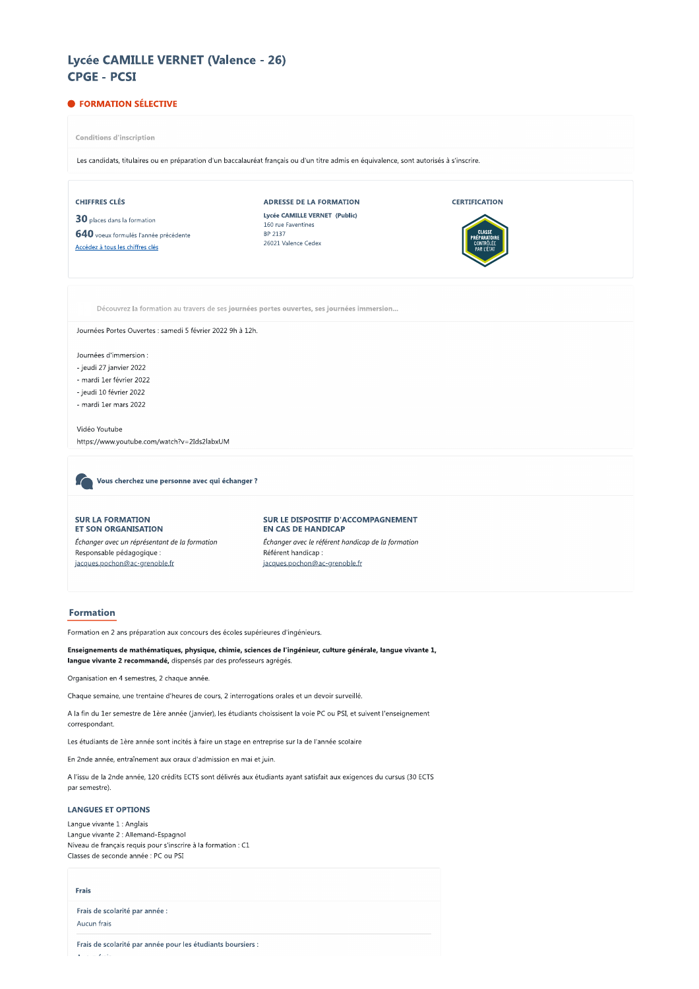# Lycée CAMILLE VERNET (Valence - 26) **CPGE - PCSI**

# **• FORMATION SÉLECTIVE**

**Conditions d'inscription** 

Les candidats, titulaires ou en préparation d'un baccalauréat français ou d'un titre admis en équivalence, sont autorisés à s'inscrire.

160 rue Faventines BP 2137

26021 Valence Cedex

# **CHIFFRES CLÉS**

30 places dans la formation 640 voeux formulés l'année précédente Accédez à tous les chiffres clés

# ADRESSE DE LA FORMATION Lycée CAMILLE VERNET (Public)

**CERTIFICATION** 

Découvrez la formation au travers de ses journées portes ouvertes, ses journées immersion...

Journées Portes Ouvertes : samedi 5 février 2022 9h à 12h.

Journées d'immersion :

# - jeudi 27 janvier 2022

- mardi 1er février 2022
- jeudi 10 février 2022
- mardi 1er mars 2022

Vidéo Youtube https://www.youtube.com/watch?v=2Ids2labxUM

Vous cherchez une personne avec qui échanger ?

## **SUR LA FORMATION ET SON ORGANISATION**

Échanger avec un réprésentant de la formation Responsable pédagogique : jacques.pochon@ac-grenoble.fr

# SUR LE DISPOSITIF D'ACCOMPAGNEMENT **EN CAS DE HANDICAP**

Échanger avec le référent handicap de la formation Référent handicap : jacques.pochon@ac-grenoble.fr

# **Formation**

Formation en 2 ans préparation aux concours des écoles supérieures d'ingénieurs.

Enseignements de mathématiques, physique, chimie, sciences de l'ingénieur, culture générale, langue vivante 1, langue vivante 2 recommandé, dispensés par des professeurs agrégés.

Organisation en 4 semestres, 2 chaque année.

Chaque semaine, une trentaine d'heures de cours, 2 interrogations orales et un devoir surveillé.

A la fin du 1er semestre de 1ère année (janvier), les étudiants choissisent la voie PC ou PSI, et suivent l'enseignement correspondant

Les étudiants de 1ère année sont incités à faire un stage en entreprise sur la de l'année scolaire

En 2nde année, entraînement aux oraux d'admission en mai et juin.

A l'issu de la 2nde année, 120 crédits ECTS sont délivrés aux étudiants ayant satisfait aux exigences du cursus (30 ECTS par semestre).

### **LANGUES ET OPTIONS**

Langue vivante 1 : Anglais Langue vivante 2 : Allemand-Espagnol Niveau de français requis pour s'inscrire à la formation : C1 Classes de seconde année : PC ou PSI

#### Frais

Frais de scolarité par année : Aucun frais

Frais de scolarité par année pour les étudiants boursiers :  $\mathbf{x} = \mathbf{y} - \mathbf{y}$  , where  $\mathbf{y}$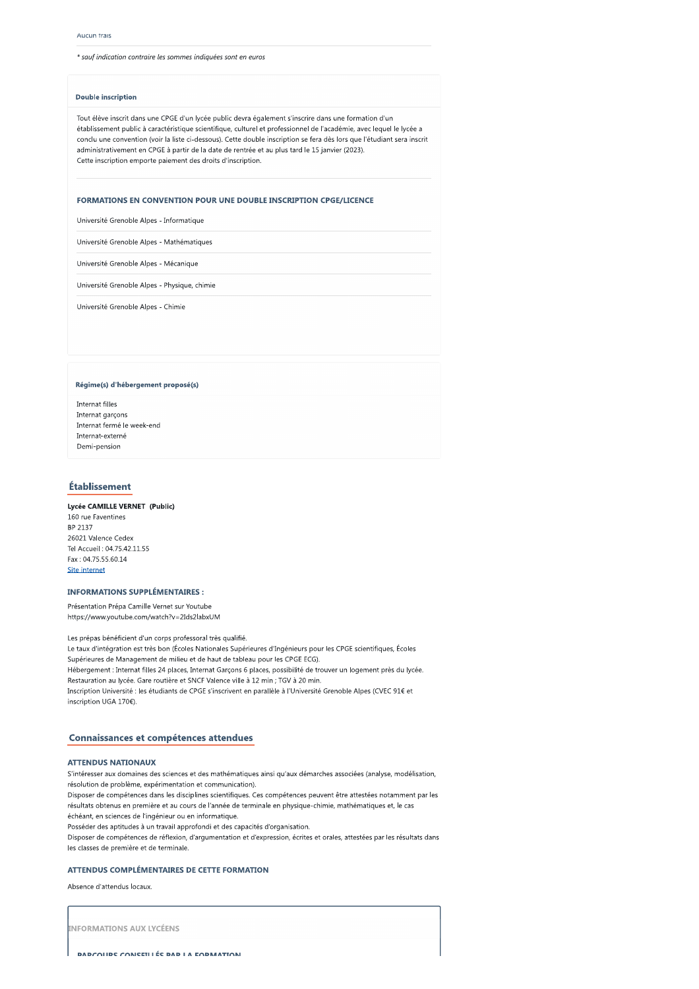\* sauf indication contraire les sommes indiquées sont en euros

## **Double inscription**

Tout élève inscrit dans une CPGE d'un lycée public devra également s'inscrire dans une formation d'un établissement public à caractéristique scientifique, culturel et professionnel de l'académie, avec lequel le lycée a conclu une convention (voir la liste ci-dessous). Cette double inscription se fera dès lors que l'étudiant sera inscrit administrativement en CPGE à partir de la date de rentrée et au plus tard le 15 janvier (2023). Cette inscription emporte paiement des droits d'inscription.

# FORMATIONS EN CONVENTION POUR UNE DOUBLE INSCRIPTION CPGE/LICENCE

Université Grenoble Alpes - Informatique

Université Grenoble Alpes - Mathématiques

Université Grenoble Alpes - Mécanique

Université Grenoble Alpes - Physique, chimie

Université Grenoble Alpes - Chimie

#### Régime(s) d'hébergement proposé(s)

Internat filles Internat garçons Internat fermé le week-end Internat-externé Demi-pension

# Établissement

Lycée CAMILLE VERNET (Public) 160 rue Faventines BP 2137 26021 Valence Cedex Tel Accueil: 04.75.42.11.55

Fax: 04 75 55 60 14 Site internet

# **INFORMATIONS SUPPLÉMENTAIRES :**

Présentation Prépa Camille Vernet sur Youtube https://www.youtube.com/watch?v=2Ids2labxUM

Les prépas bénéficient d'un corps professoral très qualifié. Le taux d'intégration est très bon (Écoles Nationales Supérieures d'Ingénieurs pour les CPGE scientifiques, Écoles Supérieures de Management de milieu et de haut de tableau pour les CPGE ECG). Hébergement : Internat filles 24 places, Internat Garçons 6 places, possibilité de trouver un logement près du lycée. Restauration au lycée. Gare routière et SNCE Valence ville à 12 min : TGV à 20 min Inscription Université : les étudiants de CPGE s'inscrivent en parallèle à l'Université Grenoble Alpes (CVEC 91€ et inscription UGA 170€).

# Connaissances et compétences attendues

# **ATTENDUS NATIONAUX**

S'intéresser aux domaines des sciences et des mathématiques ainsi qu'aux démarches associées (analyse, modélisation, résolution de problème, expérimentation et communication).

Disposer de compétences dans les disciplines scientifiques. Ces compétences peuvent être attestées notamment par les résultats obtenus en première et au cours de l'année de terminale en physique-chimie, mathématiques et, le cas échéant, en sciences de l'ingénieur ou en informatique.

Posséder des aptitudes à un travail approfondi et des capacités d'organisation.

Disposer de compétences de réflexion, d'argumentation et d'expression, écrites et orales, attestées par les résultats dans les classes de première et de terminale.

### **ATTENDUS COMPLÉMENTAIRES DE CETTE FORMATION**

Absence d'attendus locaux.

INFORMATIONS AUX LYCÉENS

**DADCOUDE CONICETI LÉE DAD LA EODMATION**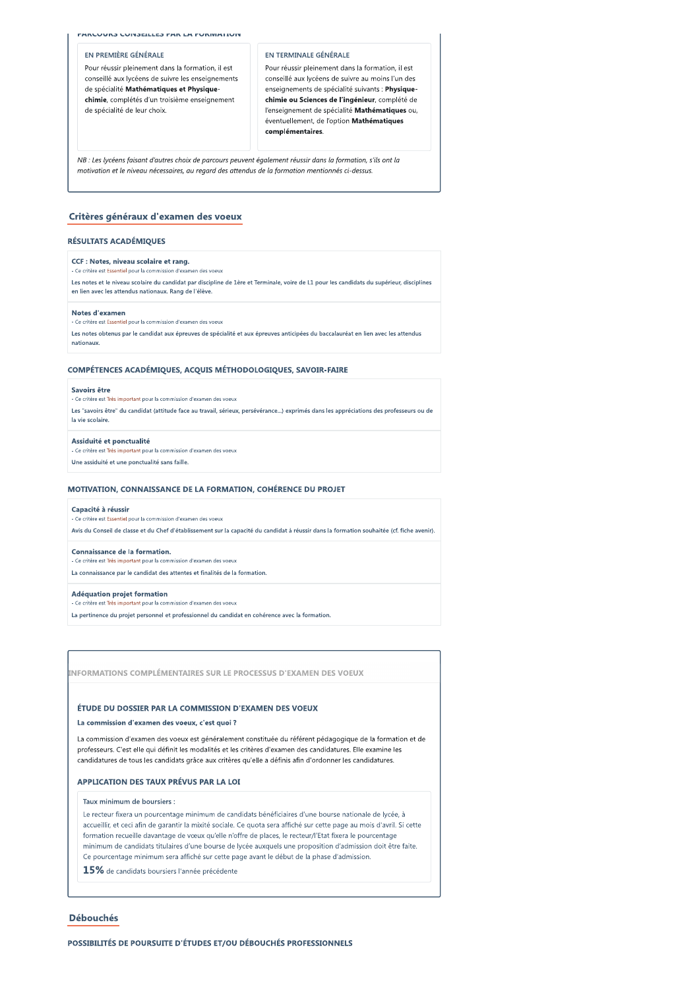#### **FANCOUNS CONSEILLES FAN EA FUNIMATION**

#### EN PREMIÈRE GÉNÉRALE

Pour réussir pleinement dans la formation, il est conseillé aux lycéens de suivre les enseignements de spécialité Mathématiques et Physiquechimie, complétés d'un troisième enseignement de spécialité de leur choix.

#### EN TERMINALE GÉNÉRALE

Pour réussir pleinement dans la formation, il est conseillé aux lycéens de suivre au moins l'un des enseignements de spécialité suivants : Physiquechimie ou Sciences de l'ingénieur, complété de l'enseignement de spécialité Mathématiques ou, éventuellement, de l'option Mathématiques complémentaires.

NB : Les lycéens faisant d'autres choix de parcours peuvent également réussir dans la formation, s'ils ont la motivation et le niveau nécessaires, au regard des attendus de la formation mentionnés ci-dessus.

## Critères généraux d'examen des voeux

### **RÉSULTATS ACADÉMIQUES**

#### CCF : Notes, niveau scolaire et rang.

- Ce critère est Essentiel pour la commission d'examen des v Les notes et le niveau scolaire du candidat par discipline de 1ère et Terminale, voire de L1 pour les candidats du supérieur, disciplines en lien avec les attendus nationaux. Rang de l'élève.

#### Notes d'examen

Ce critère est Essentiel pour la commission d'examen des voeux

Les notes obtenus par le candidat aux épreuves de spécialité et aux épreuves anticipées du baccalauréat en lien avec les attendus nationaux

#### COMPÉTENCES ACADÉMIQUES, ACQUIS MÉTHODOLOGIQUES, SAVOIR-FAIRE

#### Savoirs être

Très important pour la commission d'examen des voeux Ce critèr

Les "savoirs être" du candidat (attitude face au travail, sérieux, persévérance...) exprimés dans les appréciations des professeurs ou de la vie scolaire.

## Assiduité et ponctualité

es important pour la commission d'examen des voeux Ce critère est Tr

Une assiduité et une ponctualité sans faille.

#### MOTIVATION CONNAISSANCE DE LA FORMATION COHÉRENCE DU PROJET

#### Capacité à réussir

- Ce critère est Essentiel pour la commission d'examen des voeux Avis du Conseil de classe et du Chef d'établissement sur la capacité du candidat à réussir dans la formation souhaitée (cf. fiche avenir). Connaissance de la formation. .<br>Ce critère est Très important pour la commission d'examen des voeux

La connaissance par le candidat des attentes et finalités de la formation.

#### **Adéquation projet formation**

-<br>mportant pour la commission d'examen des voeux

La pertinence du projet personnel et professionnel du candidat en cohérence avec la formation

INFORMATIONS COMPLÉMENTAIRES SUR LE PROCESSUS D'EXAMEN DES VOEUX

#### ÉTUDE DU DOSSIER PAR LA COMMISSION D'EXAMEN DES VOEUX

#### La commission d'examen des voeux, c'est quoi ?

La commission d'examen des voeux est généralement constituée du référent pédagogique de la formation et de professeurs. C'est elle qui définit les modalités et les critères d'examen des candidatures. Elle examine les candidatures de tous les candidats grâce aux critères qu'elle a définis afin d'ordonner les candidatures.

### APPLICATION DES TAUX PRÉVUS PAR LA LOI

Taux minimum de boursiers :

Le recteur fixera un pourcentage minimum de candidats bénéficiaires d'une bourse nationale de lycée, à accueillir, et ceci afin de garantir la mixité sociale. Ce quota sera affiché sur cette page au mois d'avril. Si cette formation recueille davantage de vœux qu'elle n'offre de places, le recteur/l'Etat fixera le pourcentage minimum de candidats titulaires d'une bourse de lycée auxquels une proposition d'admission doit être faite. Ce pourcentage minimum sera affiché sur cette page avant le début de la phase d'admission

15% de candidats boursiers l'année précédente

#### **Débouchés**

POSSIBILITÉS DE POURSUITE D'ÉTUDES ET/OU DÉBOUCHÉS PROFESSIONNELS